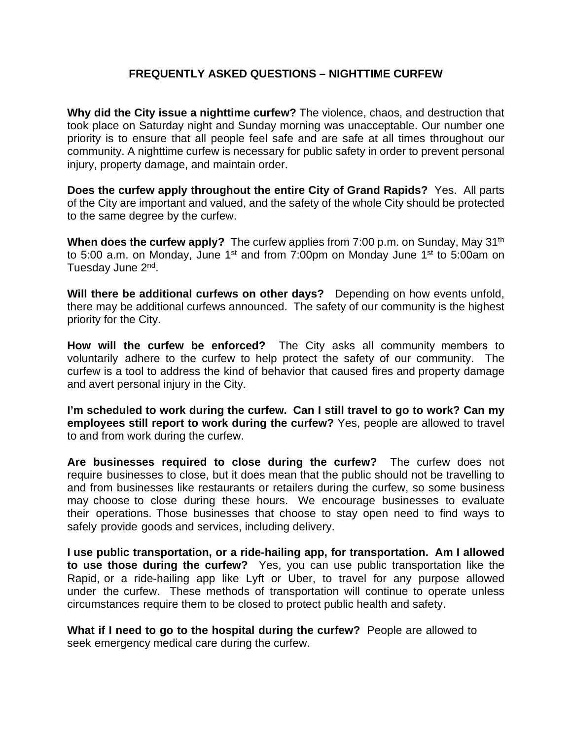## **FREQUENTLY ASKED QUESTIONS – NIGHTTIME CURFEW**

**Why did the City issue a nighttime curfew?** The violence, chaos, and destruction that took place on Saturday night and Sunday morning was unacceptable. Our number one priority is to ensure that all people feel safe and are safe at all times throughout our community. A nighttime curfew is necessary for public safety in order to prevent personal injury, property damage, and maintain order.

**Does the curfew apply throughout the entire City of Grand Rapids?** Yes. All parts of the City are important and valued, and the safety of the whole City should be protected to the same degree by the curfew.

When does the curfew apply? The curfew applies from 7:00 p.m. on Sunday, May 31<sup>th</sup> to 5:00 a.m. on Monday, June  $1<sup>st</sup>$  and from 7:00pm on Monday June  $1<sup>st</sup>$  to 5:00am on Tuesday June 2<sup>nd</sup>.

**Will there be additional curfews on other days?** Depending on how events unfold, there may be additional curfews announced. The safety of our community is the highest priority for the City.

**How will the curfew be enforced?** The City asks all community members to voluntarily adhere to the curfew to help protect the safety of our community. The curfew is a tool to address the kind of behavior that caused fires and property damage and avert personal injury in the City.

**I'm scheduled to work during the curfew. Can I still travel to go to work? Can my employees still report to work during the curfew?** Yes, people are allowed to travel to and from work during the curfew.

**Are businesses required to close during the curfew?** The curfew does not require businesses to close, but it does mean that the public should not be travelling to and from businesses like restaurants or retailers during the curfew, so some business may choose to close during these hours. We encourage businesses to evaluate their operations. Those businesses that choose to stay open need to find ways to safely provide goods and services, including delivery.

**I use public transportation, or a ride-hailing app, for transportation. Am I allowed to use those during the curfew?** Yes, you can use public transportation like the Rapid, or a ride-hailing app like Lyft or Uber, to travel for any purpose allowed under the curfew. These methods of transportation will continue to operate unless circumstances require them to be closed to protect public health and safety.

**What if I need to go to the hospital during the curfew?** People are allowed to seek emergency medical care during the curfew.